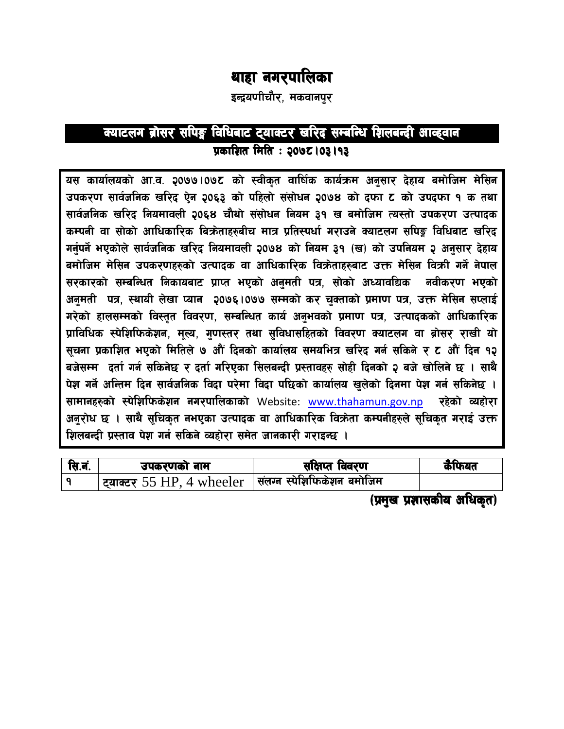# थाहा नगरपालिका

इन्द्रयणीचौर, मकवानपुर

## क्याटलग ब्रोसर सपिङ्ग विधिबाट ट्याक्टर खरिद सम्बन्धि शिलबन्दी आव्हवान प्रकाशित मिति : २०७८ | 03 | 93

यस कार्यालयको आ.व. २०७७।०७८ को स्वीकृत वार्षिक कार्यक्रम अनुसार देहाय बमोजिम मेसिन उपकरण सार्वजनिक खरिद ऐन २०६३ को पहिलो संसोधन २०७४ को दफा ट को उपदफा १ क तथा सार्वजनिक खरिद नियमावली २०६४ चौथो संसोधन नियम ३१ ख बमोजिम त्यस्तो उपकरण उत्पादक कम्पनी वा सोको आधिकारिक बिक्रेताहरुबीच मात्र प्रतिस्पर्धा गराउने क्याटलग सपिङ्ग विधिबाट खरिद गर्नपर्ने भएकोले सार्वजनिक खरिद नियमावली २०७४ को नियम ३१ (ख) को उपनियम २ अनसार देहाय बमोजिम मेसिन उपकरणहरुको उत्पादक वा आधिकारिक विक्रेताहरुबाट उक्त मेसिन विक्री गर्ने नेपाल सरकारको सम्बन्धित निकायबाट प्राप्त भएको अनुमती पत्र, सोको अध्यावधिक नवीकरण भएको अनुमती पत्र, स्थायी लेखा प्यान २०७६।०७७ सम्मको कर चुक्ताको प्रमाण पत्र, उक्त मेसिन सप्लाई गरेको हालसम्मको विस्तृत विवरण, सम्बन्धित कार्य अनुभवको प्रमाण पत्र, उत्पादकको आधिकारिक प्राविधिक स्पेशिफिकेशन, मूल्य, गुणस्तर तथा सुविधासहितको विवरण क्याटलग वा ब्रोसर राखी यो सुचना प्रकाशित भएको मितिले ७ औं दिनको कार्यालय समयभित्र खरिद गर्न सकिने र ट औं दिन १२ बजेसम्म दर्ता गर्न सकिनेछ र दर्ता गरिएका सिलबन्दी प्रस्तावहरु सोही दिनको २ बजे खोलिने छ । साथै पेश गर्ने अन्तिम दिन सार्वजनिक विदा परेमा विदा पछिको कार्यालय खुलेको दिनमा पेश गर्न सकिनेछ । सामानहरुको स्पेशिफिकेशन नगरपालिकाको Website: www.thahamun.gov.np रहेको व्यहोरा अनुरोध छ । साथै सुचिकृत नभएका उत्पादक वा आधिकारिक विक्रेता कम्पनीहरुले सुचिकृत गराई उक्त शिलबन्दी प्रस्ताव पेश गर्न सकिने व्यहोरा समेत जानकारी गराइन्छ ।

| सि.नं. | उपकरणको नाम               | साक्षप्त विवरण                      | कैफियत |
|--------|---------------------------|-------------------------------------|--------|
|        | ट्याक्टर 55 HP, 4 wheeler | <b>  संलग्न स्पेशिफिकेशन बमोजिम</b> |        |

(प्रमुख प्रशासकीय अधिकृत)